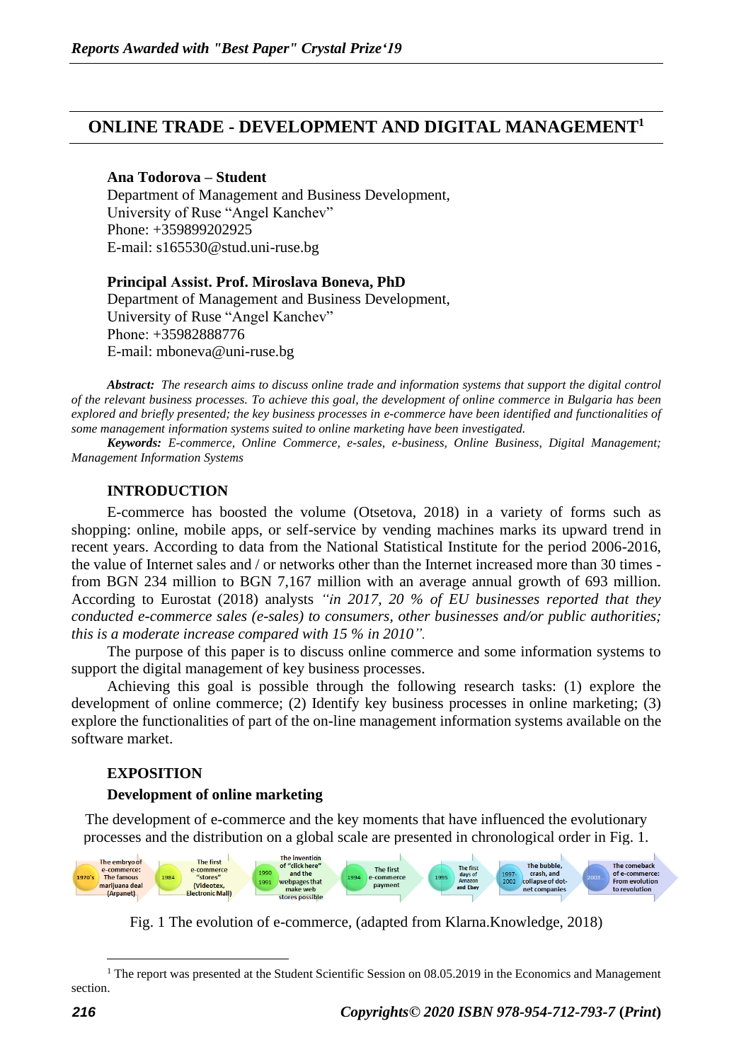# **ONLINE TRADE - DEVELOPMENT AND DIGITAL MANAGEMENT<sup>1</sup>**

## **Ana Todorova – Student**

Department of Management and Business Development, University of Ruse "Angel Kanchev" Phone: +359899202925 E-mail: s165530@stud.uni-ruse.bg

# **Principal Аssist. Prof. Miroslava Boneva, PhD**  Department of Management and Business Development, University of Ruse "Angel Kanchev" Рhone: +35982888776 Е-mail: mboneva@uni-ruse.bg

*Abstract: The research aims to discuss online trade and information systems that support the digital control of the relevant business processes. To achieve this goal, the development of online commerce in Bulgaria has been explored and briefly presented; the key business processes in e-commerce have been identified and functionalities of some management information systems suited to online marketing have been investigated.*

*Keywords: E-commerce, Online Commerce, e-sales, e-business, Online Business, Digital Management; Management Information Systems*

## **INTRODUCTION**

E-commerce has boosted the volume (Otsetova, 2018) in a variety of forms such as shopping: online, mobile apps, or self-service by vending machines marks its upward trend in recent years. According to data from the National Statistical Institute for the period 2006-2016, the value of Internet sales and / or networks other than the Internet increased more than 30 times from BGN 234 million to BGN 7,167 million with an average annual growth of 693 million. According to Eurostat (2018) analysts *"in 2017, 20 % of EU businesses reported that they conducted e-commerce sales (e-sales) to consumers, other businesses and/or public authorities; this is a moderate increase compared with 15 % in 2010".*

The purpose of this paper is to discuss online commerce and some information systems to support the digital management of key business processes.

Achieving this goal is possible through the following research tasks: (1) explore the development of online commerce; (2) Identify key business processes in online marketing; (3) explore the functionalities of part of the on-line management information systems available on the software market.

## **EXPOSITION**

## **Development of online marketing**

The development of e-commerce and the key moments that have influenced the evolutionary processes and the distribution on a global scale are presented in chronological order in Fig. 1.



Fig. 1 The evolution of e-commerce, (adapted from Klarna.Knowledge, 2018)

<sup>&</sup>lt;sup>1</sup> The report was presented at the Student Scientific Session on  $08.05.2019$  in the Economics and Management section.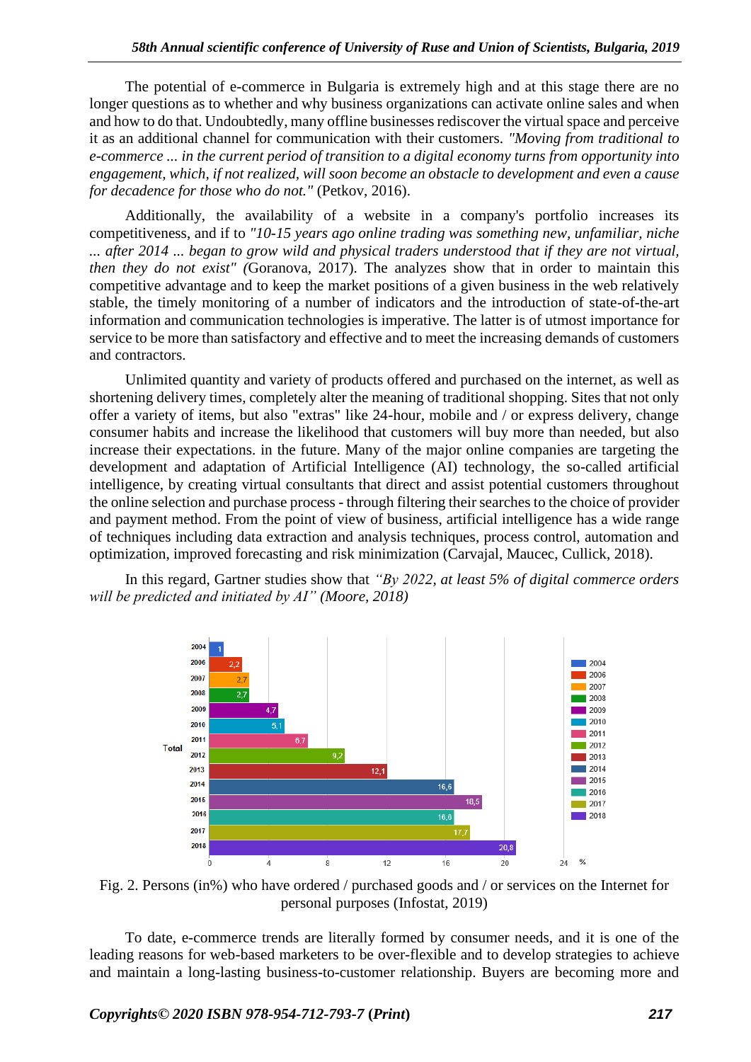The potential of e-commerce in Bulgaria is extremely high and at this stage there are no longer questions as to whether and why business organizations can activate online sales and when and how to do that. Undoubtedly, many offline businesses rediscover the virtual space and perceive it as an additional channel for communication with their customers. *"Moving from traditional to e-commerce ... in the current period of transition to a digital economy turns from opportunity into engagement, which, if not realized, will soon become an obstacle to development and even a cause for decadence for those who do not."* (Petkov, 2016).

Additionally, the availability of a website in a company's portfolio increases its competitiveness, and if to *"10-15 years ago online trading was something new, unfamiliar, niche ... after 2014 ... began to grow wild and physical traders understood that if they are not virtual, then they do not exist" (Goranova, 2017)*. The analyzes show that in order to maintain this competitive advantage and to keep the market positions of a given business in the web relatively stable, the timely monitoring of a number of indicators and the introduction of state-of-the-art information and communication technologies is imperative. The latter is of utmost importance for service to be more than satisfactory and effective and to meet the increasing demands of customers and contractors.

Unlimited quantity and variety of products offered and purchased on the internet, as well as shortening delivery times, completely alter the meaning of traditional shopping. Sites that not only offer a variety of items, but also "extras" like 24-hour, mobile and / or express delivery, change consumer habits and increase the likelihood that customers will buy more than needed, but also increase their expectations. in the future. Many of the major online companies are targeting the development and adaptation of Artificial Intelligence (AI) technology, the so-called artificial intelligence, by creating virtual consultants that direct and assist potential customers throughout the online selection and purchase process - through filtering their searches to the choice of provider and payment method. From the point of view of business, artificial intelligence has a wide range of techniques including data extraction and analysis techniques, process control, automation and optimization, improved forecasting and risk minimization (Carvajal, Maucec, Cullick, 2018).

In this regard, Gartner studies show that *"By 2022, at least 5% of digital commerce orders will be predicted and initiated by AI" (Moore, 2018)*



Fig. 2. Persons (in%) who have ordered / purchased goods and / or services on the Internet for personal purposes (Infostat, 2019)

To date, e-commerce trends are literally formed by consumer needs, and it is one of the leading reasons for web-based marketers to be over-flexible and to develop strategies to achieve and maintain a long-lasting business-to-customer relationship. Buyers are becoming more and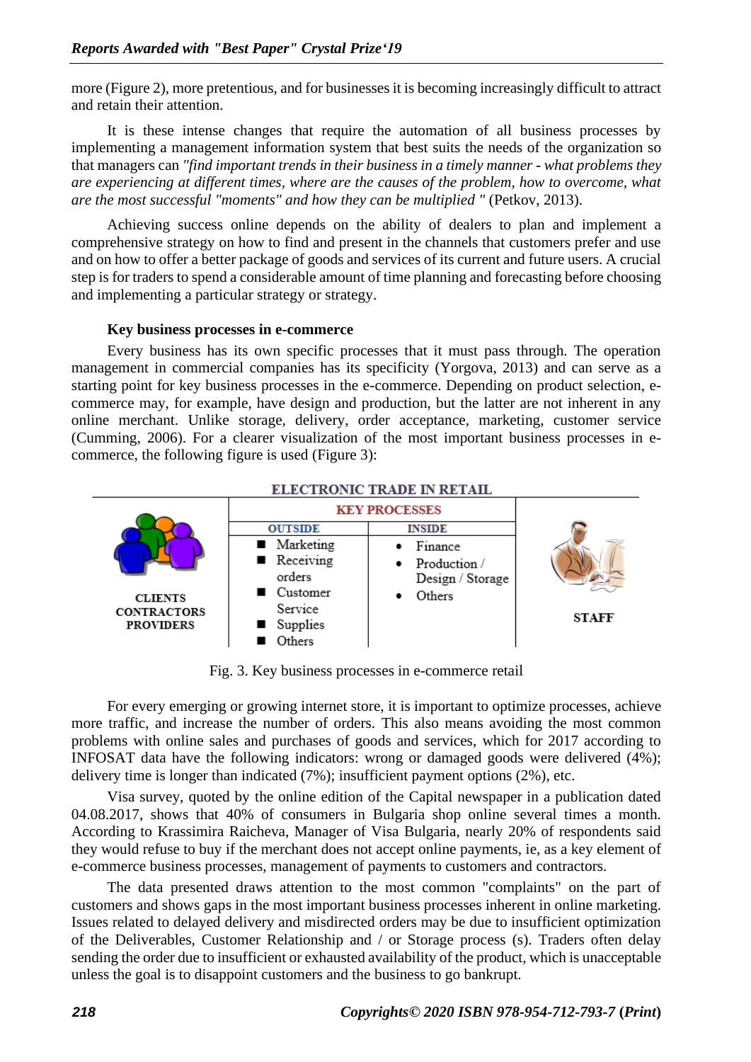more (Figure 2), more pretentious, and for businesses it is becoming increasingly difficult to attract and retain their attention.

It is these intense changes that require the automation of all business processes by implementing a management information system that best suits the needs of the organization so that managers can *"find important trends in their business in a timely manner - what problems they are experiencing at different times, where are the causes of the problem, how to overcome, what are the most successful "moments" and how they can be multiplied "* (Petkov, 2013).

Achieving success online depends on the ability of dealers to plan and implement a comprehensive strategy on how to find and present in the channels that customers prefer and use and on how to offer a better package of goods and services of its current and future users. A crucial step is for traders to spend a considerable amount of time planning and forecasting before choosing and implementing a particular strategy or strategy.

#### **Key business processes in e-commerce**

Every business has its own specific processes that it must pass through. The operation management in commercial companies has its specificity (Yorgova, 2013) and can serve as a starting point for key business processes in the e-commerce. Depending on product selection, ecommerce may, for example, have design and production, but the latter are not inherent in any online merchant. Unlike storage, delivery, order acceptance, marketing, customer service (Cumming, 2006). For a clearer visualization of the most important business processes in ecommerce, the following figure is used (Figure 3):



Fig. 3. Key business processes in e-commerce retail

For every emerging or growing internet store, it is important to optimize processes, achieve more traffic, and increase the number of orders. This also means avoiding the most common problems with online sales and purchases of goods and services, which for 2017 according to INFOSAT data have the following indicators: wrong or damaged goods were delivered (4%); delivery time is longer than indicated (7%); insufficient payment options (2%), etc.

Visa survey, quoted by the online edition of the Capital newspaper in a publication dated 04.08.2017, shows that 40% of consumers in Bulgaria shop online several times a month. According to Krassimira Raicheva, Manager of Visa Bulgaria, nearly 20% of respondents said they would refuse to buy if the merchant does not accept online payments, ie, as a key element of e-commerce business processes, management of payments to customers and contractors.

The data presented draws attention to the most common "complaints" on the part of customers and shows gaps in the most important business processes inherent in online marketing. Issues related to delayed delivery and misdirected orders may be due to insufficient optimization of the Deliverables, Customer Relationship and / or Storage process (s). Traders often delay sending the order due to insufficient or exhausted availability of the product, which is unacceptable unless the goal is to disappoint customers and the business to go bankrupt.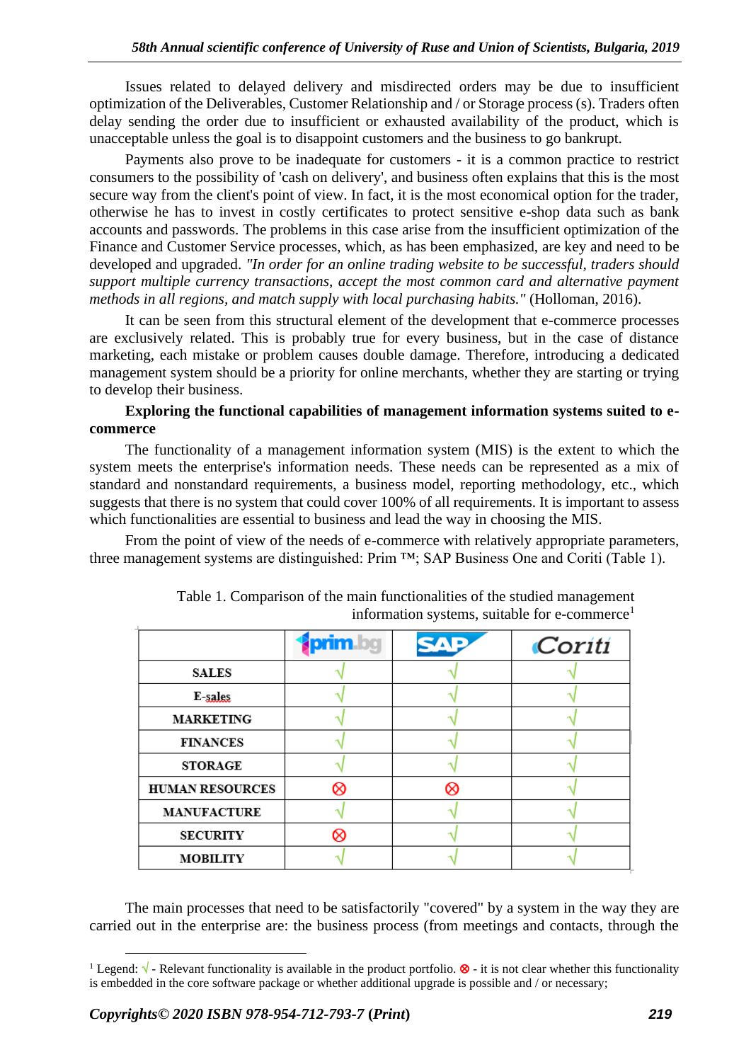Issues related to delayed delivery and misdirected orders may be due to insufficient optimization of the Deliverables, Customer Relationship and / or Storage process (s). Traders often delay sending the order due to insufficient or exhausted availability of the product, which is unacceptable unless the goal is to disappoint customers and the business to go bankrupt.

Payments also prove to be inadequate for customers - it is a common practice to restrict consumers to the possibility of 'cash on delivery', and business often explains that this is the most secure way from the client's point of view. In fact, it is the most economical option for the trader, otherwise he has to invest in costly certificates to protect sensitive e-shop data such as bank accounts and passwords. The problems in this case arise from the insufficient optimization of the Finance and Customer Service processes, which, as has been emphasized, are key and need to be developed and upgraded. *"In order for an online trading website to be successful, traders should support multiple currency transactions, accept the most common card and alternative payment methods in all regions, and match supply with local purchasing habits."* (Holloman, 2016).

It can be seen from this structural element of the development that e-commerce processes are exclusively related. This is probably true for every business, but in the case of distance marketing, each mistake or problem causes double damage. Therefore, introducing a dedicated management system should be a priority for online merchants, whether they are starting or trying to develop their business.

# **Exploring the functional capabilities of management information systems suited to ecommerce**

The functionality of a management information system (MIS) is the extent to which the system meets the enterprise's information needs. These needs can be represented as a mix of standard and nonstandard requirements, a business model, reporting methodology, etc., which suggests that there is no system that could cover 100% of all requirements. It is important to assess which functionalities are essential to business and lead the way in choosing the MIS.

From the point of view of the needs of e-commerce with relatively appropriate parameters, three management systems are distinguished: Prim ™; SAP Business One and Coriti (Table 1).

|                        |   | Coriti |
|------------------------|---|--------|
| <b>SALES</b>           |   |        |
| E-sales                |   |        |
| <b>MARKETING</b>       |   |        |
| <b>FINANCES</b>        |   |        |
| <b>STORAGE</b>         |   |        |
| <b>HUMAN RESOURCES</b> | ∝ |        |
| <b>MANUFACTURE</b>     |   |        |
| <b>SECURITY</b>        |   |        |
| <b>MOBILITY</b>        |   |        |

Table 1. Comparison of the main functionalities of the studied management information systems, suitable for  $e$ -commerce<sup>1</sup>

The main processes that need to be satisfactorily "covered" by a system in the way they are carried out in the enterprise are: the business process (from meetings and contacts, through the

<sup>&</sup>lt;sup>1</sup> Legend:  $\sqrt{\ }$  - Relevant functionality is available in the product portfolio.  $\otimes$  - it is not clear whether this functionality is embedded in the core software package or whether additional upgrade is possible and / or necessary;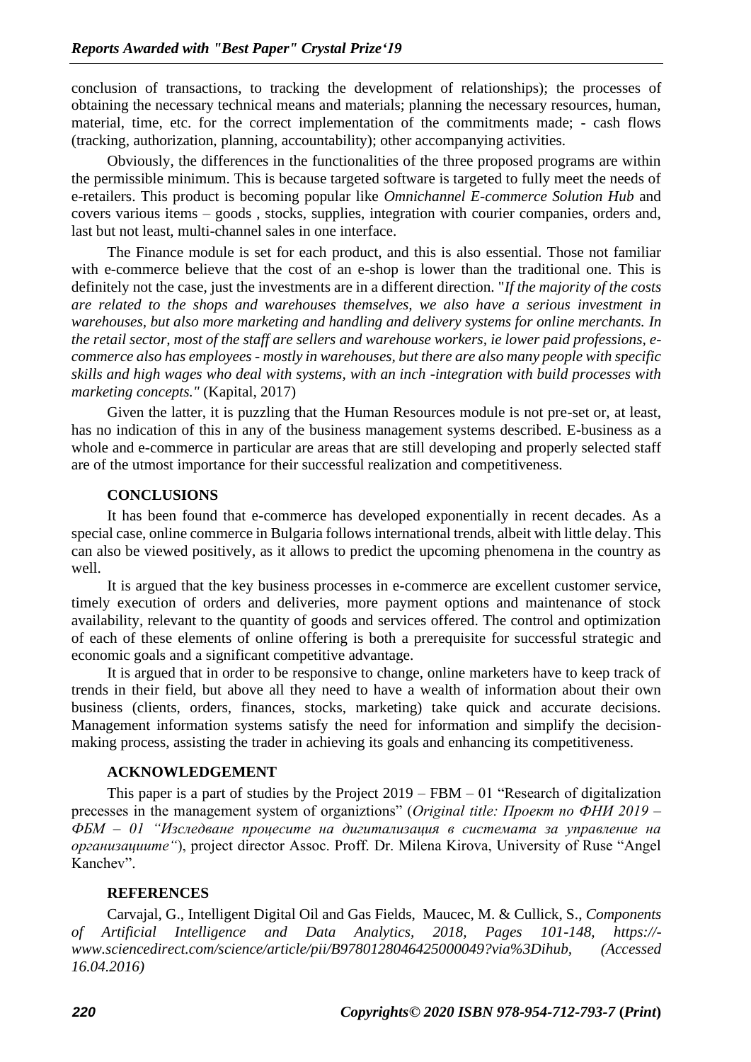conclusion of transactions, to tracking the development of relationships); the processes of obtaining the necessary technical means and materials; planning the necessary resources, human, material, time, etc. for the correct implementation of the commitments made; - cash flows (tracking, authorization, planning, accountability); other accompanying activities.

Obviously, the differences in the functionalities of the three proposed programs are within the permissible minimum. This is because targeted software is targeted to fully meet the needs of e-retailers. This product is becoming popular like *Omnichannel E-commerce Solution Hub* and covers various items – goods , stocks, supplies, integration with courier companies, orders and, last but not least, multi-channel sales in one interface.

The Finance module is set for each product, and this is also essential. Those not familiar with e-commerce believe that the cost of an e-shop is lower than the traditional one. This is definitely not the case, just the investments are in a different direction. "*If the majority of the costs are related to the shops and warehouses themselves, we also have a serious investment in warehouses, but also more marketing and handling and delivery systems for online merchants. In the retail sector, most of the staff are sellers and warehouse workers, ie lower paid professions, ecommerce also has employees - mostly in warehouses, but there are also many people with specific skills and high wages who deal with systems, with an inch -integration with build processes with marketing concepts."* (Kapital, 2017)

Given the latter, it is puzzling that the Human Resources module is not pre-set or, at least, has no indication of this in any of the business management systems described. E-business as a whole and e-commerce in particular are areas that are still developing and properly selected staff are of the utmost importance for their successful realization and competitiveness.

## **CONCLUSIONS**

It has been found that e-commerce has developed exponentially in recent decades. As a special case, online commerce in Bulgaria follows international trends, albeit with little delay. This can also be viewed positively, as it allows to predict the upcoming phenomena in the country as well.

It is argued that the key business processes in e-commerce are excellent customer service, timely execution of orders and deliveries, more payment options and maintenance of stock availability, relevant to the quantity of goods and services offered. The control and optimization of each of these elements of online offering is both a prerequisite for successful strategic and economic goals and a significant competitive advantage.

It is argued that in order to be responsive to change, online marketers have to keep track of trends in their field, but above all they need to have a wealth of information about their own business (clients, orders, finances, stocks, marketing) take quick and accurate decisions. Management information systems satisfy the need for information and simplify the decisionmaking process, assisting the trader in achieving its goals and enhancing its competitiveness.

## **ACKNOWLEDGEMENT**

This paper is a part of studies by the Project  $2019 - FBM - 01$  "Research of digitalization precesses in the management system of organiztions" (*Original title: Проект по ФНИ 2019 – ФБМ – 01 "Изследване процесите на дигитализация в системата за управление на организациите"*), project director Assoc. Proff. Dr. Milena Kirova, University of Ruse "Angel Kanchev".

## **REFERENCES**

Carvajal, G., Intelligent Digital Oil and Gas Fields, Maucec, M. & Cullick, S., *Components of Artificial Intelligence and Data Analytics, 2018, Pages 101-148, [https://](https://www.sciencedirect.com/science/article/pii/B9780128046425000049?via%3Dihub) [www.sciencedirect.com/science/article/pii/B9780128046425000049?via%3Dihub,](https://www.sciencedirect.com/science/article/pii/B9780128046425000049?via%3Dihub) (Accessed 16.04.2016)*